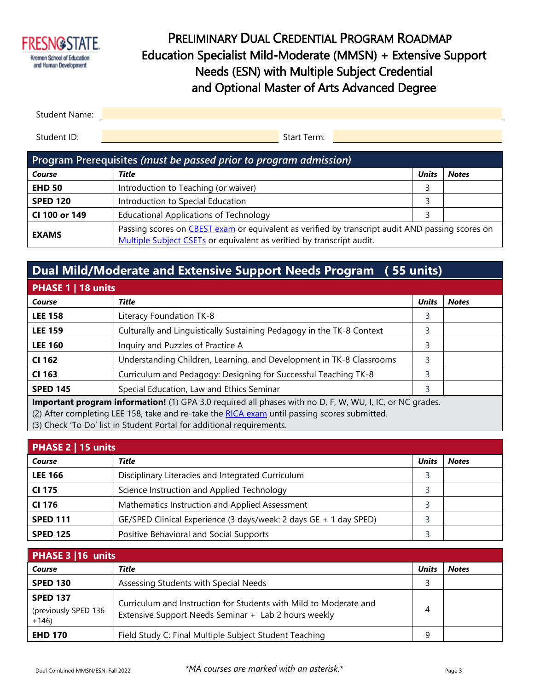

## PRELIMINARY DUAL CREDENTIAL PROGRAM ROADMAP Education Specialist Mild-Moderate (MMSN) + Extensive Support Needs (ESN) with Multiple Subject Credential and Optional Master of Arts Advanced Degree

| Student Name: |             |  |
|---------------|-------------|--|
|               |             |  |
| Student ID:   | Start Term: |  |

| Program Prerequisites (must be passed prior to program admission) |                                                                                                                                                                           |       |              |  |  |
|-------------------------------------------------------------------|---------------------------------------------------------------------------------------------------------------------------------------------------------------------------|-------|--------------|--|--|
| Course                                                            | Title                                                                                                                                                                     | Unit: | <b>Notes</b> |  |  |
| <b>EHD 50</b>                                                     | Introduction to Teaching (or waiver)                                                                                                                                      |       |              |  |  |
| <b>SPED 120</b>                                                   | Introduction to Special Education                                                                                                                                         |       |              |  |  |
| CI 100 or 149                                                     | <b>Educational Applications of Technology</b>                                                                                                                             |       |              |  |  |
| <b>EXAMS</b>                                                      | Passing scores on CBEST exam or equivalent as verified by transcript audit AND passing scores on<br>Multiple Subject CSETs or equivalent as verified by transcript audit. |       |              |  |  |

# **Dual Mild/Moderate and Extensive Support Needs Program ( 55 units)**

| PHASE 1   18 units                                                                                              |                                                                       |              |              |  |
|-----------------------------------------------------------------------------------------------------------------|-----------------------------------------------------------------------|--------------|--------------|--|
| Course                                                                                                          | Title                                                                 | <b>Units</b> | <b>Notes</b> |  |
| <b>LEE 158</b>                                                                                                  | Literacy Foundation TK-8                                              | 3            |              |  |
| <b>LEE 159</b>                                                                                                  | Culturally and Linguistically Sustaining Pedagogy in the TK-8 Context | 3            |              |  |
| <b>LEE 160</b>                                                                                                  | Inquiry and Puzzles of Practice A                                     | 3            |              |  |
| CI 162                                                                                                          | Understanding Children, Learning, and Development in TK-8 Classrooms  | 3            |              |  |
| CI 163                                                                                                          | Curriculum and Pedagogy: Designing for Successful Teaching TK-8       | 3            |              |  |
| <b>SPED 145</b>                                                                                                 | Special Education, Law and Ethics Seminar                             | 3            |              |  |
| <b>Important program information!</b> (1) GPA 3.0 required all phases with no D, F, W, WU, I, IC, or NC grades. |                                                                       |              |              |  |
| (2) After completing LEE 158, take and re-take the RICA exam until passing scores submitted.                    |                                                                       |              |              |  |
| (3) Check 'To Do' list in Student Portal for additional requirements.                                           |                                                                       |              |              |  |

| PHASE 2   15 units |                                                                   |              |              |
|--------------------|-------------------------------------------------------------------|--------------|--------------|
| Course             | Title                                                             | <b>Units</b> | <b>Notes</b> |
| <b>LEE 166</b>     | Disciplinary Literacies and Integrated Curriculum                 |              |              |
| <b>CI 175</b>      | Science Instruction and Applied Technology                        |              |              |
| CI 176             | Mathematics Instruction and Applied Assessment                    |              |              |
| <b>SPED 111</b>    | GE/SPED Clinical Experience (3 days/week: 2 days GE + 1 day SPED) |              |              |
| <b>SPED 125</b>    | Positive Behavioral and Social Supports                           |              |              |

| PHASE 3 16 units                                  |                                                                                                                           |              |              |
|---------------------------------------------------|---------------------------------------------------------------------------------------------------------------------------|--------------|--------------|
| Course                                            | Title                                                                                                                     | <b>Units</b> | <b>Notes</b> |
| <b>SPED 130</b>                                   | Assessing Students with Special Needs                                                                                     |              |              |
| <b>SPED 137</b><br>(previously SPED 136<br>$+146$ | Curriculum and Instruction for Students with Mild to Moderate and<br>Extensive Support Needs Seminar + Lab 2 hours weekly | 4            |              |
| <b>EHD 170</b>                                    | Field Study C: Final Multiple Subject Student Teaching                                                                    | a            |              |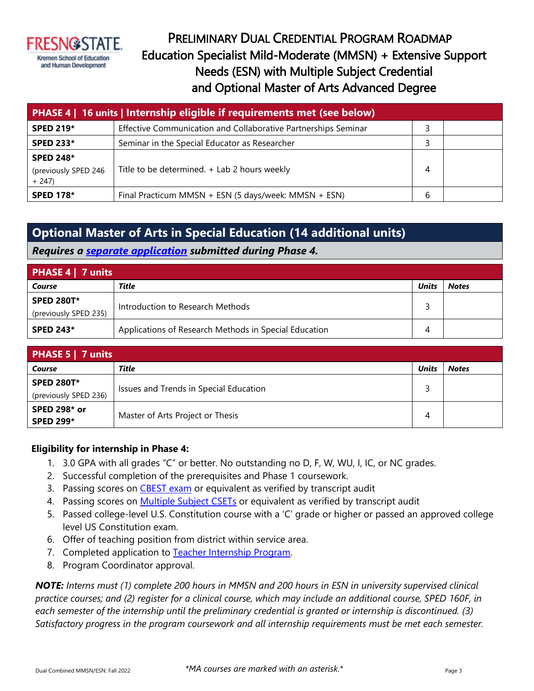

## PRELIMINARY DUAL CREDENTIAL PROGRAM ROADMAP Education Specialist Mild-Moderate (MMSN) + Extensive Support Needs (ESN) with Multiple Subject Credential and Optional Master of Arts Advanced Degree

| <b>PHASE 4</b>   16 units   Internship eligible if requirements met (see below) |                                                                |   |  |  |
|---------------------------------------------------------------------------------|----------------------------------------------------------------|---|--|--|
| <b>SPED 219*</b>                                                                | Effective Communication and Collaborative Partnerships Seminar |   |  |  |
| <b>SPED 233*</b>                                                                | Seminar in the Special Educator as Researcher                  |   |  |  |
| <b>SPED 248*</b><br>(previously SPED 246<br>$+ 247$                             | Title to be determined. + Lab 2 hours weekly                   | 4 |  |  |
| <b>SPED 178*</b>                                                                | Final Practicum MMSN + ESN (5 days/week: MMSN + ESN)           | b |  |  |

### **Optional Master of Arts in Special Education (14 additional units)**

*Requires a separate application submitted during Phase 4.*

| PHASE 4   7 units      |                                                       |              |              |
|------------------------|-------------------------------------------------------|--------------|--------------|
| Title<br><b>Course</b> |                                                       | <b>Units</b> | <b>Notes</b> |
| <b>SPED 280T*</b>      | Introduction to Research Methods                      |              |              |
| (previously SPED 235)  |                                                       |              |              |
| <b>SPED 243*</b>       | Applications of Research Methods in Special Education | 4            |              |

| <b>PHASE 5   7 units</b>                   |                                        |              |              |  |
|--------------------------------------------|----------------------------------------|--------------|--------------|--|
| Course                                     | Title                                  | <b>Units</b> | <b>Notes</b> |  |
| <b>SPED 280T*</b><br>(previously SPED 236) | Issues and Trends in Special Education |              |              |  |
| <b>SPED 298* or</b><br><b>SPED 299*</b>    | Master of Arts Project or Thesis       | 4            |              |  |

#### **Eligibility for internship in Phase 4:**

- 1. 3.0 GPA with all grades "C" or better. No outstanding no D, F, W, WU, I, IC, or NC grades.
- 2. Successful completion of the prerequisites and Phase 1 coursework.
- 3. Passing scores on **CBEST** exam or equivalent as verified by transcript audit
- 4. Passing scores on Multiple Subject CSETs or equivalent as verified by transcript audit
- 5. Passed college-level U.S. Constitution course with a 'C' grade or higher or passed an approved college level US Constitution exam.
- 6. Offer of teaching position from district within service area.
- 7. Completed application to Teacher Internship Program.
- 8. Program Coordinator approval.

*NOTE: Interns must (1) complete 200 hours in MMSN and 200 hours in ESN in university supervised clinical practice courses; and (2) register for a clinical course, which may include an additional course, SPED 160F, in each semester of the internship until the preliminary credential is granted or internship is discontinued. (3) Satisfactory progress in the program coursework and all internship requirements must be met each semester.*